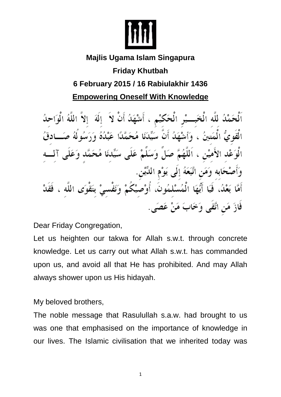

### **Majlis Ugama Islam Singapura**

# **Friday Khutbah**

## **6 February 2015 / 16 Rabiulakhir 1436**

**Empowering Oneself With Knowledge** 

ٱلْحَمْدُ لِلَّهِ الْخَبِـــيْرِ الْحَكِيْمِ ، أَشْهَدُ أَنْ لاَ ۚ إِلَهَ ۚ إِلاَّ اللَّهُ الْوَاحِدُ الْقَوِيُّ الْمَتينُ ، وَأَشْهَدُ أَنَّ سَيِّدَنَا مُحَمَّدًا عَبْدُهُ وَرَسُولُهُ صَـــادقُ الْوَعْد الأَميْن ، اَللَّهُمَّ صَلٍّ وَسَلِّمْ عَلَى سَيِّدنَا مُحَمَّد وَعَلَى وَأَصْحَابِه وَمَنِ اتَّبَعَهُ إِلَى يَوْمِ اللَّيْنِ. أَمَّا بَعْدُ، فَيَا أَيُّهَا الْمُسْلمُونَ، أُوْصِيْكُمْ وَنَفْسىْ بِتَقْوَى اللَّه ، فَقَدْ فَازَ مَن اتَّقَى وَخَابَ مَنْ عَصَى ِ

Dear Friday Congregation,

Let us heighten our takwa for Allah s.w.t. through concrete knowledge. Let us carry out what Allah s.w.t. has commanded upon us, and avoid all that He has prohibited. And may Allah always shower upon us His hidayah.

My beloved brothers,

The noble message that Rasulullah s.a.w. had brought to us was one that emphasised on the importance of knowledge in our lives. The Islamic civilisation that we inherited today was

1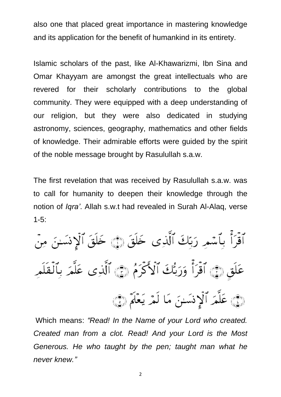also one that placed great importance in mastering knowledge and its application for the benefit of humankind in its entirety.

Islamic scholars of the past, like Al-Khawarizmi, Ibn Sina and Omar Khayyam are amongst the great intellectuals who are revered for their scholarly contributions to the global community. They were equipped with a deep understanding of our religion, but they were also dedicated in studying astronomy, sciences, geography, mathematics and other fields of knowledge. Their admirable efforts were guided by the spirit of the noble message brought by Rasulullah s.a.w.

The first revelation that was received by Rasulullah s.a.w. was to call for humanity to deepen their knowledge through the notion of *Iqra'*. Allah s.w.t had revealed in Surah Al-Alaq, verse 1-5:

ٱقْرَأْ بِٱسۡمِرِ رَبِّكَ ٱلَّذِى خَلَقَ ۞ خَلَقَ ٱلۡإِنسَـٰنَ مِنۡ عَلَقٍ ۞ ٱقْرَأْ وَرَبُّكَ ٱلْأَكْرَمُ ۞ ٱلَّذِى عَلَّمَ بِٱلْقَلَمِ (فِي عَلَّمَرُ ٱلْإِنسَنَ مَا لَمْرَ يَعْلَمُ (فِيَ

Which means: *"Read! In the Name of your Lord who created. Created man from a clot. Read! And your Lord is the Most Generous. He who taught by the pen; taught man what he never knew."*

2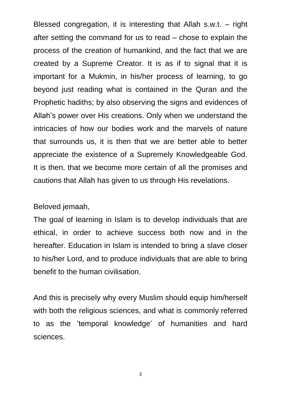Blessed congregation, it is interesting that Allah s.w.t. – right after setting the command for us to read – chose to explain the process of the creation of humankind, and the fact that we are created by a Supreme Creator. It is as if to signal that it is important for a Mukmin, in his/her process of learning, to go beyond just reading what is contained in the Quran and the Prophetic hadiths; by also observing the signs and evidences of Allah's power over His creations. Only when we understand the intricacies of how our bodies work and the marvels of nature that surrounds us, it is then that we are better able to better appreciate the existence of a Supremely Knowledgeable God. It is then, that we become more certain of all the promises and cautions that Allah has given to us through His revelations.

#### Beloved jemaah,

The goal of learning in Islam is to develop individuals that are ethical, in order to achieve success both now and in the hereafter. Education in Islam is intended to bring a slave closer to his/her Lord, and to produce individuals that are able to bring benefit to the human civilisation.

And this is precisely why every Muslim should equip him/herself with both the religious sciences, and what is commonly referred to as the 'temporal knowledge' of humanities and hard sciences.

3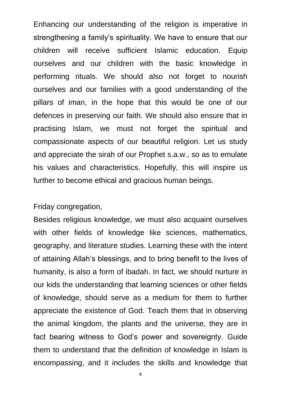Enhancing our understanding of the religion is imperative in strengthening a family's spirituality. We have to ensure that our children will receive sufficient Islamic education. Equip ourselves and our children with the basic knowledge in performing rituals. We should also not forget to nourish ourselves and our families with a good understanding of the pillars of iman, in the hope that this would be one of our defences in preserving our faith. We should also ensure that in practising Islam, we must not forget the spiritual and compassionate aspects of our beautiful religion. Let us study and appreciate the sirah of our Prophet s.a.w., so as to emulate his values and characteristics. Hopefully, this will inspire us further to become ethical and gracious human beings.

#### Friday congregation,

Besides religious knowledge, we must also acquaint ourselves with other fields of knowledge like sciences, mathematics, geography, and literature studies. Learning these with the intent of attaining Allah's blessings, and to bring benefit to the lives of humanity, is also a form of ibadah. In fact, we should nurture in our kids the understanding that learning sciences or other fields of knowledge, should serve as a medium for them to further appreciate the existence of God. Teach them that in observing the animal kingdom, the plants and the universe, they are in fact bearing witness to God's power and sovereignty. Guide them to understand that the definition of knowledge in Islam is encompassing, and it includes the skills and knowledge that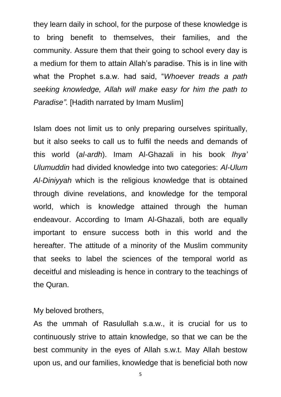they learn daily in school, for the purpose of these knowledge is to bring benefit to themselves, their families, and the community. Assure them that their going to school every day is a medium for them to attain Allah's paradise. This is in line with what the Prophet s.a.w. had said, "*Whoever treads a path seeking knowledge, Allah will make easy for him the path to Paradise".* [Hadith narrated by Imam Muslim]

Islam does not limit us to only preparing ourselves spiritually, but it also seeks to call us to fulfil the needs and demands of this world (*al-ardh*). Imam Al-Ghazali in his book *Ihya' Ulumuddin* had divided knowledge into two categories: *Al-Ulum Al-Diniyyah* which is the religious knowledge that is obtained through divine revelations, and knowledge for the temporal world, which is knowledge attained through the human endeavour. According to Imam Al-Ghazali, both are equally important to ensure success both in this world and the hereafter. The attitude of a minority of the Muslim community that seeks to label the sciences of the temporal world as deceitful and misleading is hence in contrary to the teachings of the Quran.

My beloved brothers,

As the ummah of Rasulullah s.a.w., it is crucial for us to continuously strive to attain knowledge, so that we can be the best community in the eyes of Allah s.w.t. May Allah bestow upon us, and our families, knowledge that is beneficial both now